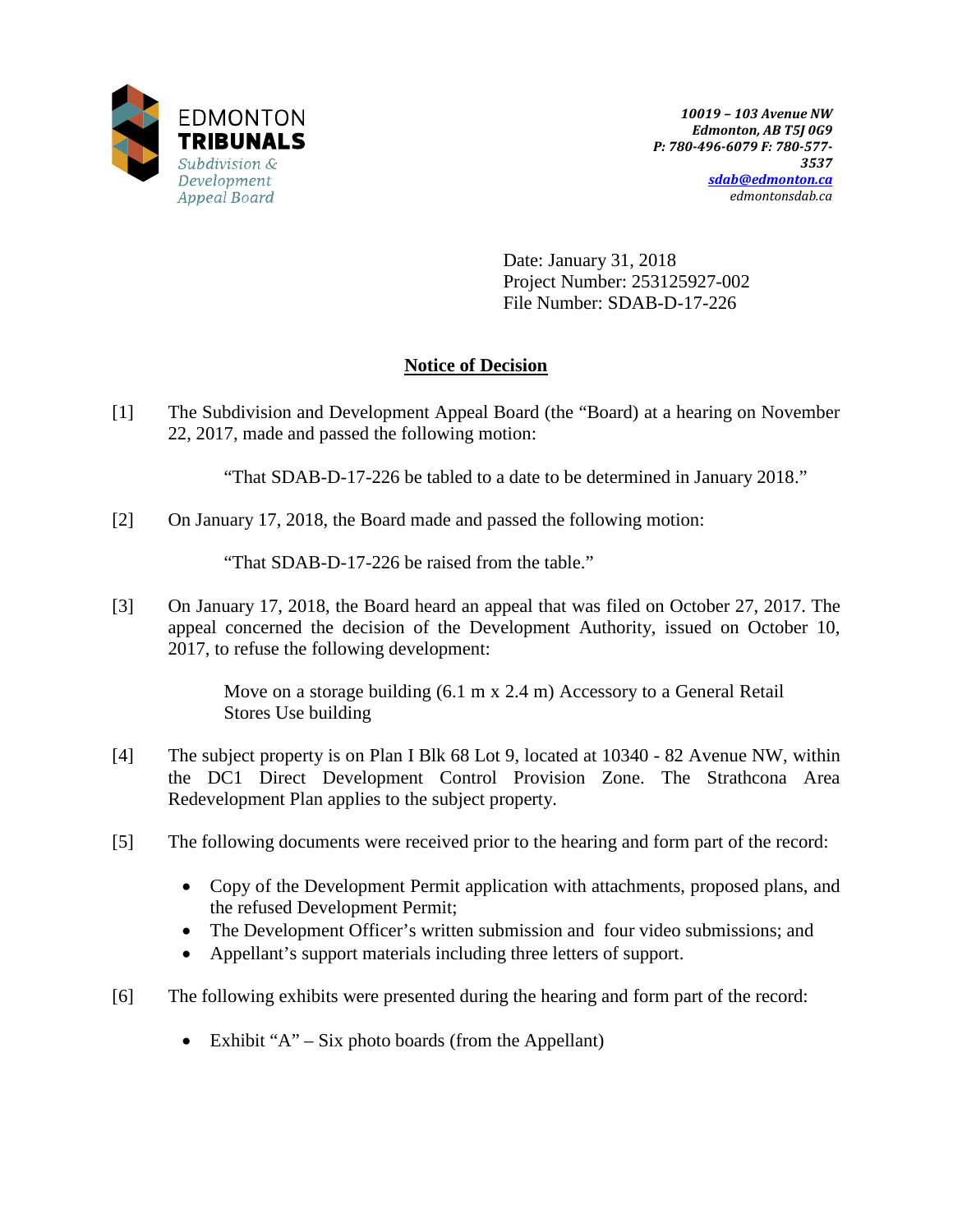

Date: January 31, 2018 Project Number: 253125927-002 File Number: SDAB-D-17-226

# **Notice of Decision**

[1] The Subdivision and Development Appeal Board (the "Board) at a hearing on November 22, 2017, made and passed the following motion:

"That SDAB-D-17-226 be tabled to a date to be determined in January 2018."

[2] On January 17, 2018, the Board made and passed the following motion:

"That SDAB-D-17-226 be raised from the table."

[3] On January 17, 2018, the Board heard an appeal that was filed on October 27, 2017. The appeal concerned the decision of the Development Authority, issued on October 10, 2017, to refuse the following development:

> Move on a storage building (6.1 m x 2.4 m) Accessory to a General Retail Stores Use building

- [4] The subject property is on Plan I Blk 68 Lot 9, located at 10340 82 Avenue NW, within the DC1 Direct Development Control Provision Zone. The Strathcona Area Redevelopment Plan applies to the subject property.
- [5] The following documents were received prior to the hearing and form part of the record:
	- Copy of the Development Permit application with attachments, proposed plans, and the refused Development Permit;
	- The Development Officer's written submission and four video submissions; and
	- Appellant's support materials including three letters of support.
- [6] The following exhibits were presented during the hearing and form part of the record:
	- Exhibit " $A$ " Six photo boards (from the Appellant)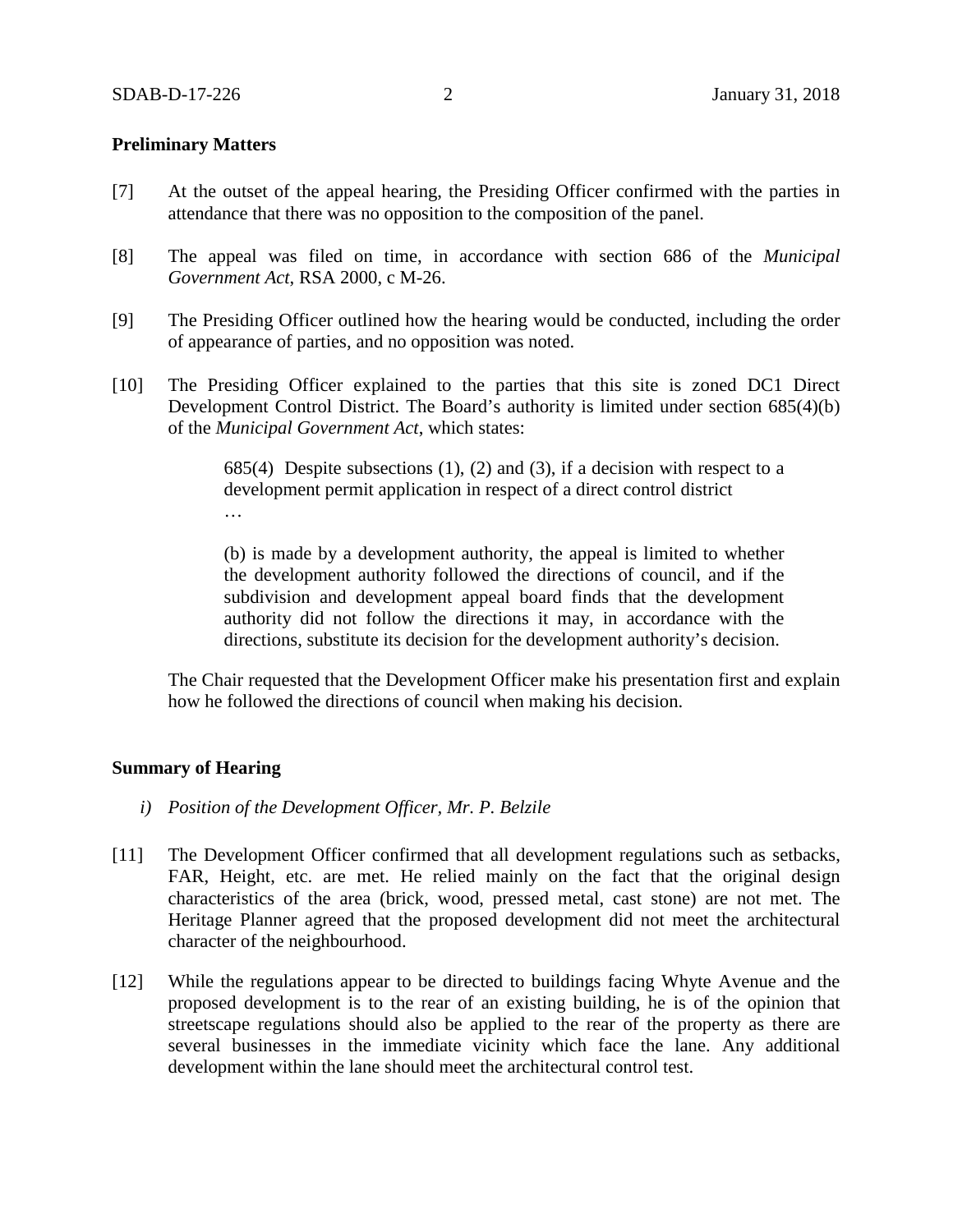## **Preliminary Matters**

- [7] At the outset of the appeal hearing, the Presiding Officer confirmed with the parties in attendance that there was no opposition to the composition of the panel.
- [8] The appeal was filed on time, in accordance with section 686 of the *Municipal Government Act*, RSA 2000, c M-26.
- [9] The Presiding Officer outlined how the hearing would be conducted, including the order of appearance of parties, and no opposition was noted.
- [10] The Presiding Officer explained to the parties that this site is zoned DC1 Direct Development Control District. The Board's authority is limited under section 685(4)(b) of the *Municipal Government Act*, which states:

685(4) Despite subsections  $(1)$ ,  $(2)$  and  $(3)$ , if a decision with respect to a development permit application in respect of a direct control district …

(b) is made by a development authority, the appeal is limited to whether the development authority followed the directions of council, and if the subdivision and development appeal board finds that the development authority did not follow the directions it may, in accordance with the directions, substitute its decision for the development authority's decision.

The Chair requested that the Development Officer make his presentation first and explain how he followed the directions of council when making his decision.

### **Summary of Hearing**

- *i) Position of the Development Officer, Mr. P. Belzile*
- [11] The Development Officer confirmed that all development regulations such as setbacks, FAR, Height, etc. are met. He relied mainly on the fact that the original design characteristics of the area (brick, wood, pressed metal, cast stone) are not met. The Heritage Planner agreed that the proposed development did not meet the architectural character of the neighbourhood.
- [12] While the regulations appear to be directed to buildings facing Whyte Avenue and the proposed development is to the rear of an existing building, he is of the opinion that streetscape regulations should also be applied to the rear of the property as there are several businesses in the immediate vicinity which face the lane. Any additional development within the lane should meet the architectural control test.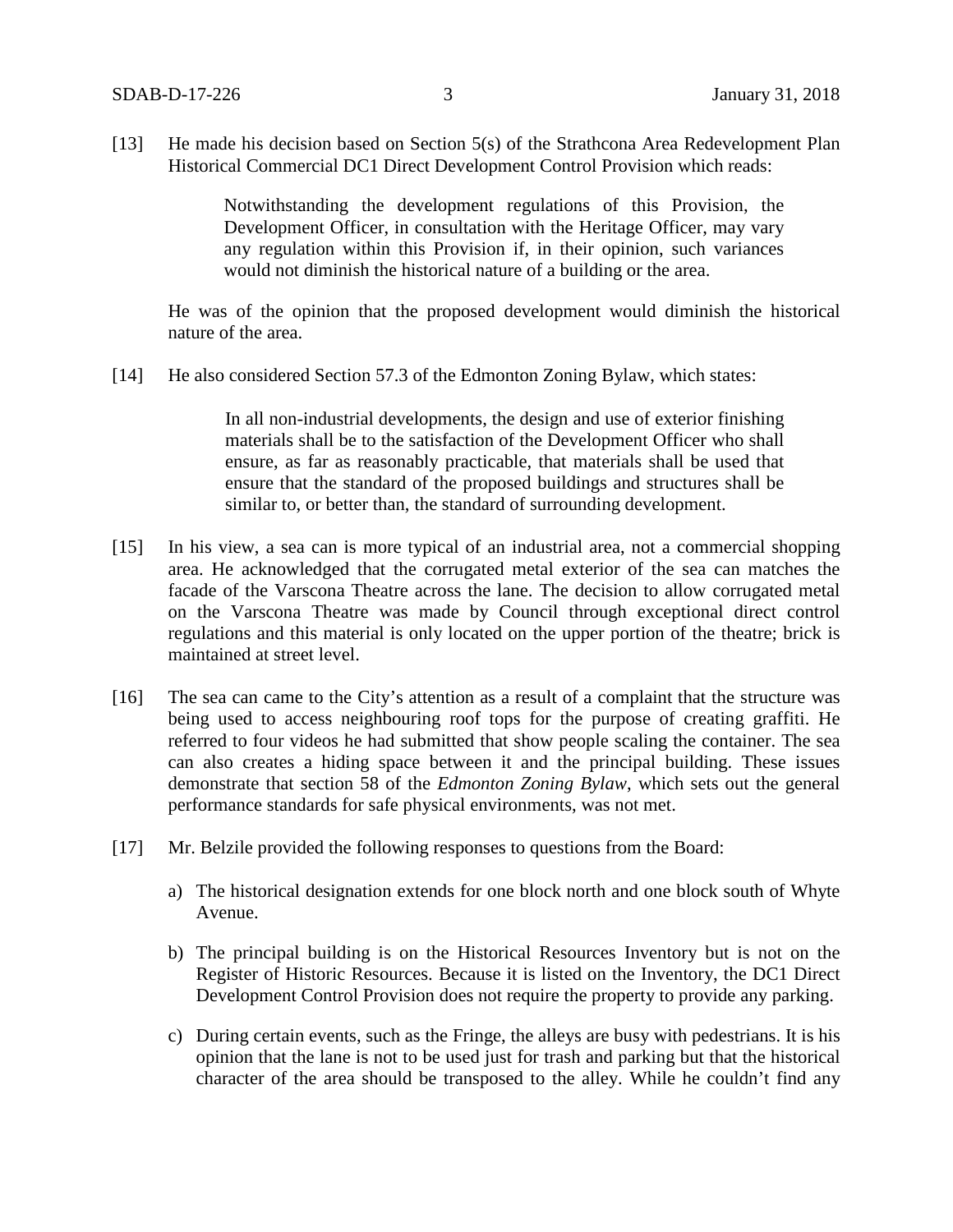[13] He made his decision based on Section 5(s) of the Strathcona Area Redevelopment Plan Historical Commercial DC1 Direct Development Control Provision which reads:

> Notwithstanding the development regulations of this Provision, the Development Officer, in consultation with the Heritage Officer, may vary any regulation within this Provision if, in their opinion, such variances would not diminish the historical nature of a building or the area.

He was of the opinion that the proposed development would diminish the historical nature of the area.

[14] He also considered Section 57.3 of the Edmonton Zoning Bylaw, which states:

In all non-industrial developments, the design and use of exterior finishing materials shall be to the satisfaction of the Development Officer who shall ensure, as far as reasonably practicable, that materials shall be used that ensure that the standard of the proposed buildings and structures shall be similar to, or better than, the standard of surrounding development.

- [15] In his view, a sea can is more typical of an industrial area, not a commercial shopping area. He acknowledged that the corrugated metal exterior of the sea can matches the facade of the Varscona Theatre across the lane. The decision to allow corrugated metal on the Varscona Theatre was made by Council through exceptional direct control regulations and this material is only located on the upper portion of the theatre; brick is maintained at street level.
- [16] The sea can came to the City's attention as a result of a complaint that the structure was being used to access neighbouring roof tops for the purpose of creating graffiti. He referred to four videos he had submitted that show people scaling the container. The sea can also creates a hiding space between it and the principal building. These issues demonstrate that section 58 of the *Edmonton Zoning Bylaw*, which sets out the general performance standards for safe physical environments, was not met.
- [17] Mr. Belzile provided the following responses to questions from the Board:
	- a) The historical designation extends for one block north and one block south of Whyte Avenue.
	- b) The principal building is on the Historical Resources Inventory but is not on the Register of Historic Resources. Because it is listed on the Inventory, the DC1 Direct Development Control Provision does not require the property to provide any parking.
	- c) During certain events, such as the Fringe, the alleys are busy with pedestrians. It is his opinion that the lane is not to be used just for trash and parking but that the historical character of the area should be transposed to the alley. While he couldn't find any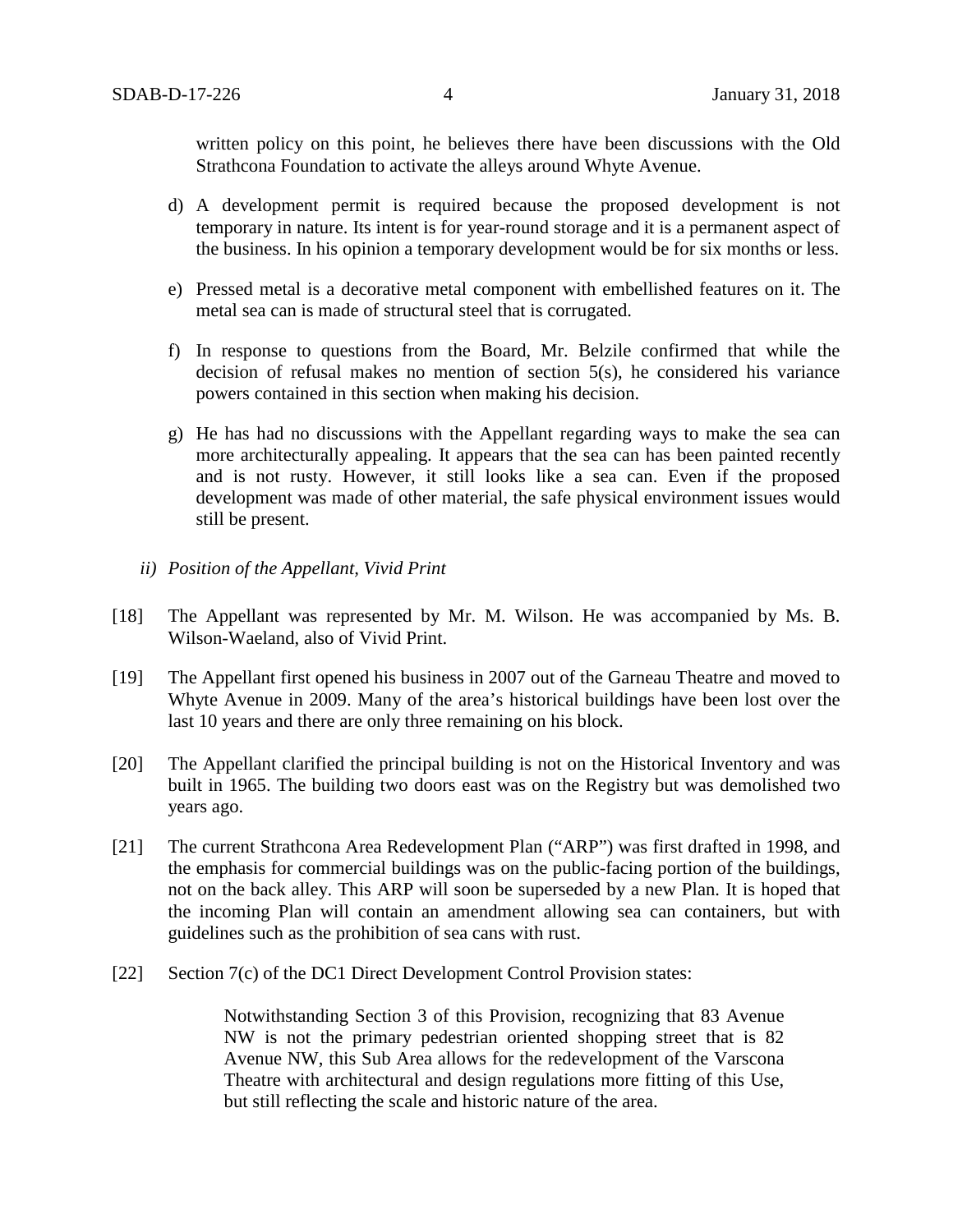written policy on this point, he believes there have been discussions with the Old Strathcona Foundation to activate the alleys around Whyte Avenue.

- d) A development permit is required because the proposed development is not temporary in nature. Its intent is for year-round storage and it is a permanent aspect of the business. In his opinion a temporary development would be for six months or less.
- e) Pressed metal is a decorative metal component with embellished features on it. The metal sea can is made of structural steel that is corrugated.
- f) In response to questions from the Board, Mr. Belzile confirmed that while the decision of refusal makes no mention of section 5(s), he considered his variance powers contained in this section when making his decision.
- g) He has had no discussions with the Appellant regarding ways to make the sea can more architecturally appealing. It appears that the sea can has been painted recently and is not rusty. However, it still looks like a sea can. Even if the proposed development was made of other material, the safe physical environment issues would still be present.
- *ii) Position of the Appellant, Vivid Print*
- [18] The Appellant was represented by Mr. M. Wilson. He was accompanied by Ms. B. Wilson-Waeland, also of Vivid Print.
- [19] The Appellant first opened his business in 2007 out of the Garneau Theatre and moved to Whyte Avenue in 2009. Many of the area's historical buildings have been lost over the last 10 years and there are only three remaining on his block.
- [20] The Appellant clarified the principal building is not on the Historical Inventory and was built in 1965. The building two doors east was on the Registry but was demolished two years ago.
- [21] The current Strathcona Area Redevelopment Plan ("ARP") was first drafted in 1998, and the emphasis for commercial buildings was on the public-facing portion of the buildings, not on the back alley. This ARP will soon be superseded by a new Plan. It is hoped that the incoming Plan will contain an amendment allowing sea can containers, but with guidelines such as the prohibition of sea cans with rust.
- [22] Section 7(c) of the DC1 Direct Development Control Provision states:

Notwithstanding Section 3 of this Provision, recognizing that 83 Avenue NW is not the primary pedestrian oriented shopping street that is 82 Avenue NW, this Sub Area allows for the redevelopment of the Varscona Theatre with architectural and design regulations more fitting of this Use, but still reflecting the scale and historic nature of the area.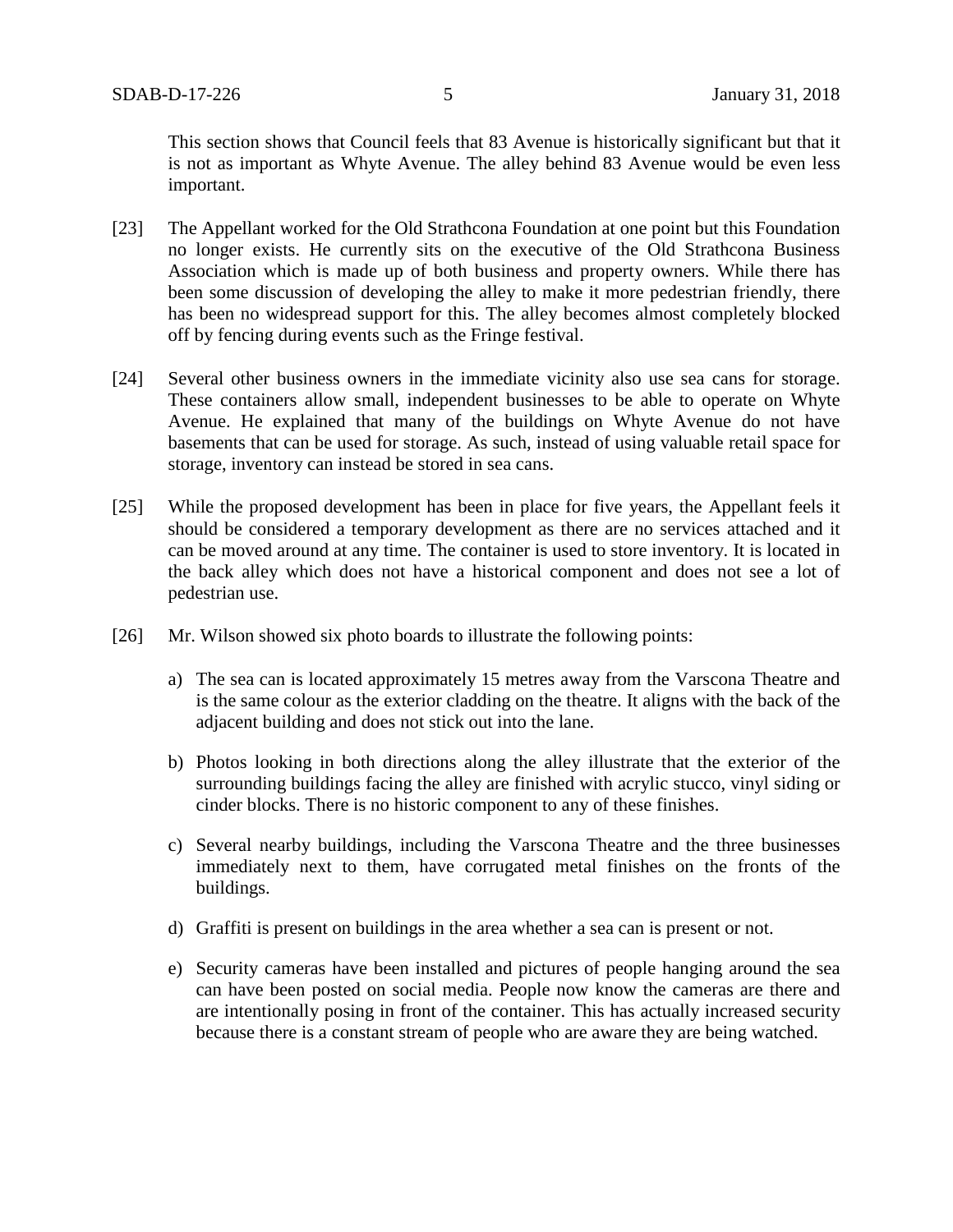This section shows that Council feels that 83 Avenue is historically significant but that it is not as important as Whyte Avenue. The alley behind 83 Avenue would be even less important.

- [23] The Appellant worked for the Old Strathcona Foundation at one point but this Foundation no longer exists. He currently sits on the executive of the Old Strathcona Business Association which is made up of both business and property owners. While there has been some discussion of developing the alley to make it more pedestrian friendly, there has been no widespread support for this. The alley becomes almost completely blocked off by fencing during events such as the Fringe festival.
- [24] Several other business owners in the immediate vicinity also use sea cans for storage. These containers allow small, independent businesses to be able to operate on Whyte Avenue. He explained that many of the buildings on Whyte Avenue do not have basements that can be used for storage. As such, instead of using valuable retail space for storage, inventory can instead be stored in sea cans.
- [25] While the proposed development has been in place for five years, the Appellant feels it should be considered a temporary development as there are no services attached and it can be moved around at any time. The container is used to store inventory. It is located in the back alley which does not have a historical component and does not see a lot of pedestrian use.
- [26] Mr. Wilson showed six photo boards to illustrate the following points:
	- a) The sea can is located approximately 15 metres away from the Varscona Theatre and is the same colour as the exterior cladding on the theatre. It aligns with the back of the adjacent building and does not stick out into the lane.
	- b) Photos looking in both directions along the alley illustrate that the exterior of the surrounding buildings facing the alley are finished with acrylic stucco, vinyl siding or cinder blocks. There is no historic component to any of these finishes.
	- c) Several nearby buildings, including the Varscona Theatre and the three businesses immediately next to them, have corrugated metal finishes on the fronts of the buildings.
	- d) Graffiti is present on buildings in the area whether a sea can is present or not.
	- e) Security cameras have been installed and pictures of people hanging around the sea can have been posted on social media. People now know the cameras are there and are intentionally posing in front of the container. This has actually increased security because there is a constant stream of people who are aware they are being watched.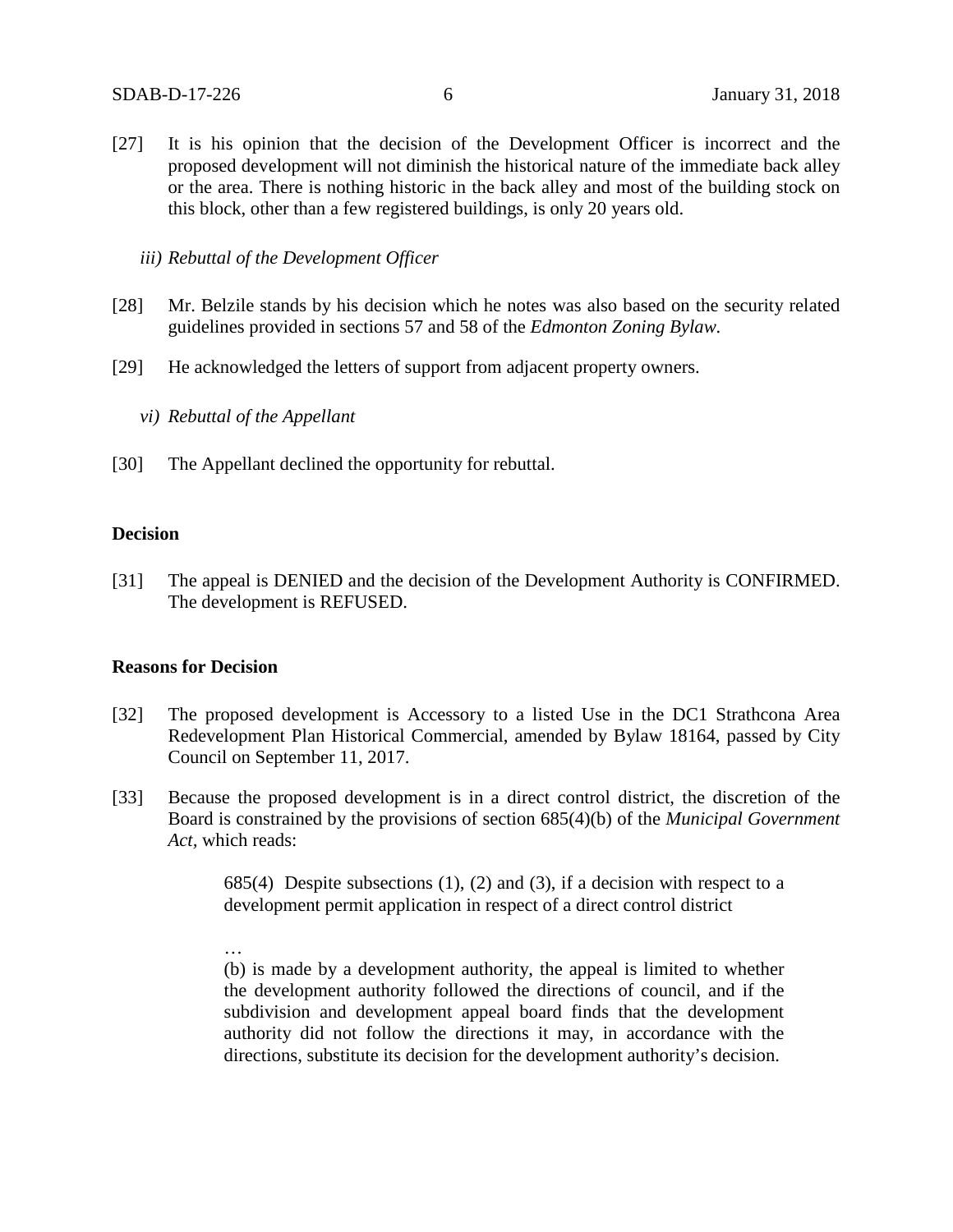[27] It is his opinion that the decision of the Development Officer is incorrect and the proposed development will not diminish the historical nature of the immediate back alley or the area. There is nothing historic in the back alley and most of the building stock on this block, other than a few registered buildings, is only 20 years old.

*iii) Rebuttal of the Development Officer* 

- [28] Mr. Belzile stands by his decision which he notes was also based on the security related guidelines provided in sections 57 and 58 of the *Edmonton Zoning Bylaw.*
- [29] He acknowledged the letters of support from adjacent property owners.
	- *vi) Rebuttal of the Appellant*
- [30] The Appellant declined the opportunity for rebuttal.

#### **Decision**

[31] The appeal is DENIED and the decision of the Development Authority is CONFIRMED. The development is REFUSED.

## **Reasons for Decision**

- [32] The proposed development is Accessory to a listed Use in the DC1 Strathcona Area Redevelopment Plan Historical Commercial, amended by Bylaw 18164, passed by City Council on September 11, 2017.
- [33] Because the proposed development is in a direct control district, the discretion of the Board is constrained by the provisions of section 685(4)(b) of the *Municipal Government Act,* which reads:

685(4) Despite subsections  $(1)$ ,  $(2)$  and  $(3)$ , if a decision with respect to a development permit application in respect of a direct control district

… (b) is made by a development authority, the appeal is limited to whether the development authority followed the directions of council, and if the subdivision and development appeal board finds that the development authority did not follow the directions it may, in accordance with the directions, substitute its decision for the development authority's decision.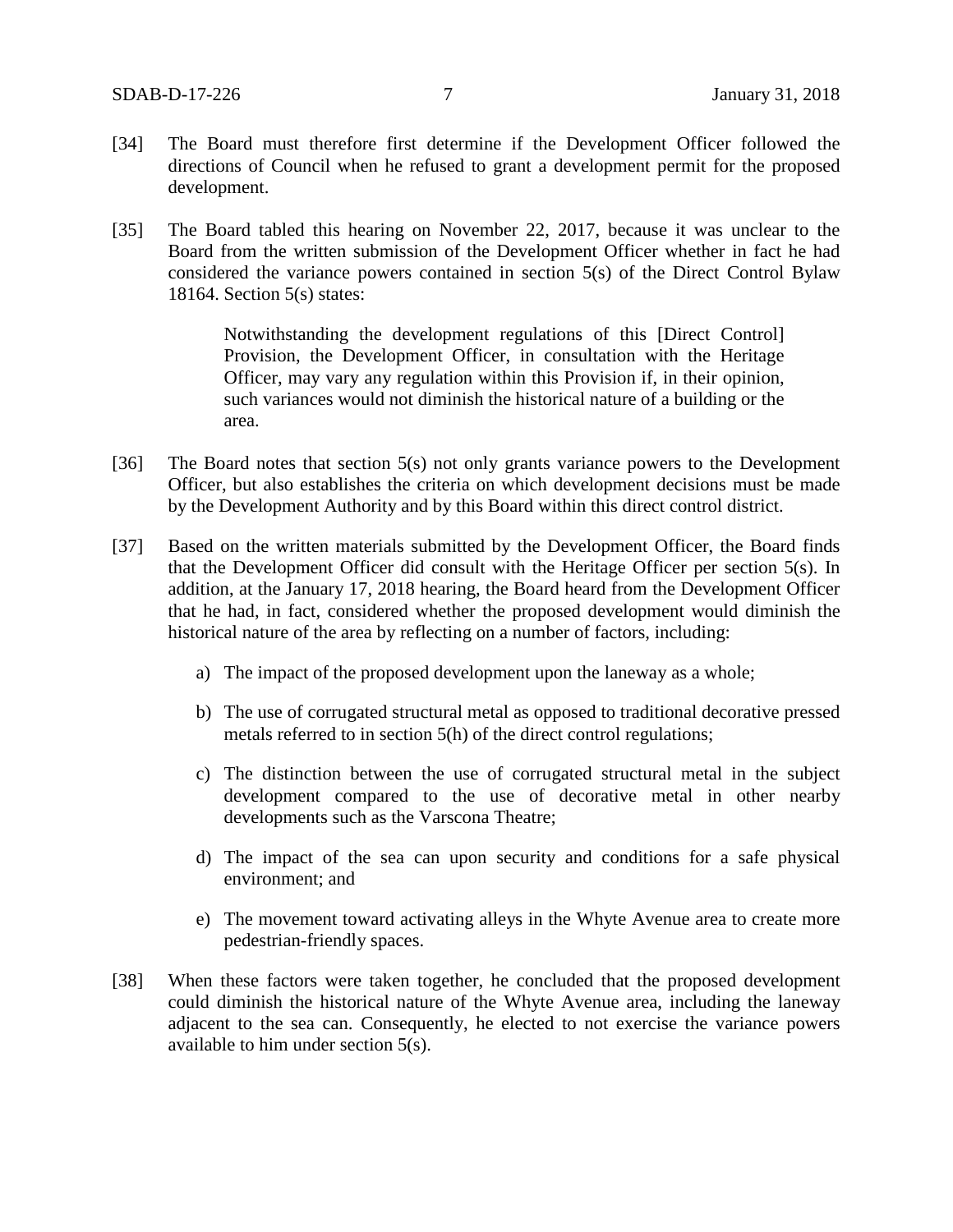- [34] The Board must therefore first determine if the Development Officer followed the directions of Council when he refused to grant a development permit for the proposed development.
- [35] The Board tabled this hearing on November 22, 2017, because it was unclear to the Board from the written submission of the Development Officer whether in fact he had considered the variance powers contained in section 5(s) of the Direct Control Bylaw 18164. Section 5(s) states:

Notwithstanding the development regulations of this [Direct Control] Provision, the Development Officer, in consultation with the Heritage Officer, may vary any regulation within this Provision if, in their opinion, such variances would not diminish the historical nature of a building or the area.

- [36] The Board notes that section 5(s) not only grants variance powers to the Development Officer, but also establishes the criteria on which development decisions must be made by the Development Authority and by this Board within this direct control district.
- [37] Based on the written materials submitted by the Development Officer, the Board finds that the Development Officer did consult with the Heritage Officer per section 5(s). In addition, at the January 17, 2018 hearing, the Board heard from the Development Officer that he had, in fact, considered whether the proposed development would diminish the historical nature of the area by reflecting on a number of factors, including:
	- a) The impact of the proposed development upon the laneway as a whole;
	- b) The use of corrugated structural metal as opposed to traditional decorative pressed metals referred to in section 5(h) of the direct control regulations;
	- c) The distinction between the use of corrugated structural metal in the subject development compared to the use of decorative metal in other nearby developments such as the Varscona Theatre;
	- d) The impact of the sea can upon security and conditions for a safe physical environment; and
	- e) The movement toward activating alleys in the Whyte Avenue area to create more pedestrian-friendly spaces.
- [38] When these factors were taken together, he concluded that the proposed development could diminish the historical nature of the Whyte Avenue area, including the laneway adjacent to the sea can. Consequently, he elected to not exercise the variance powers available to him under section 5(s).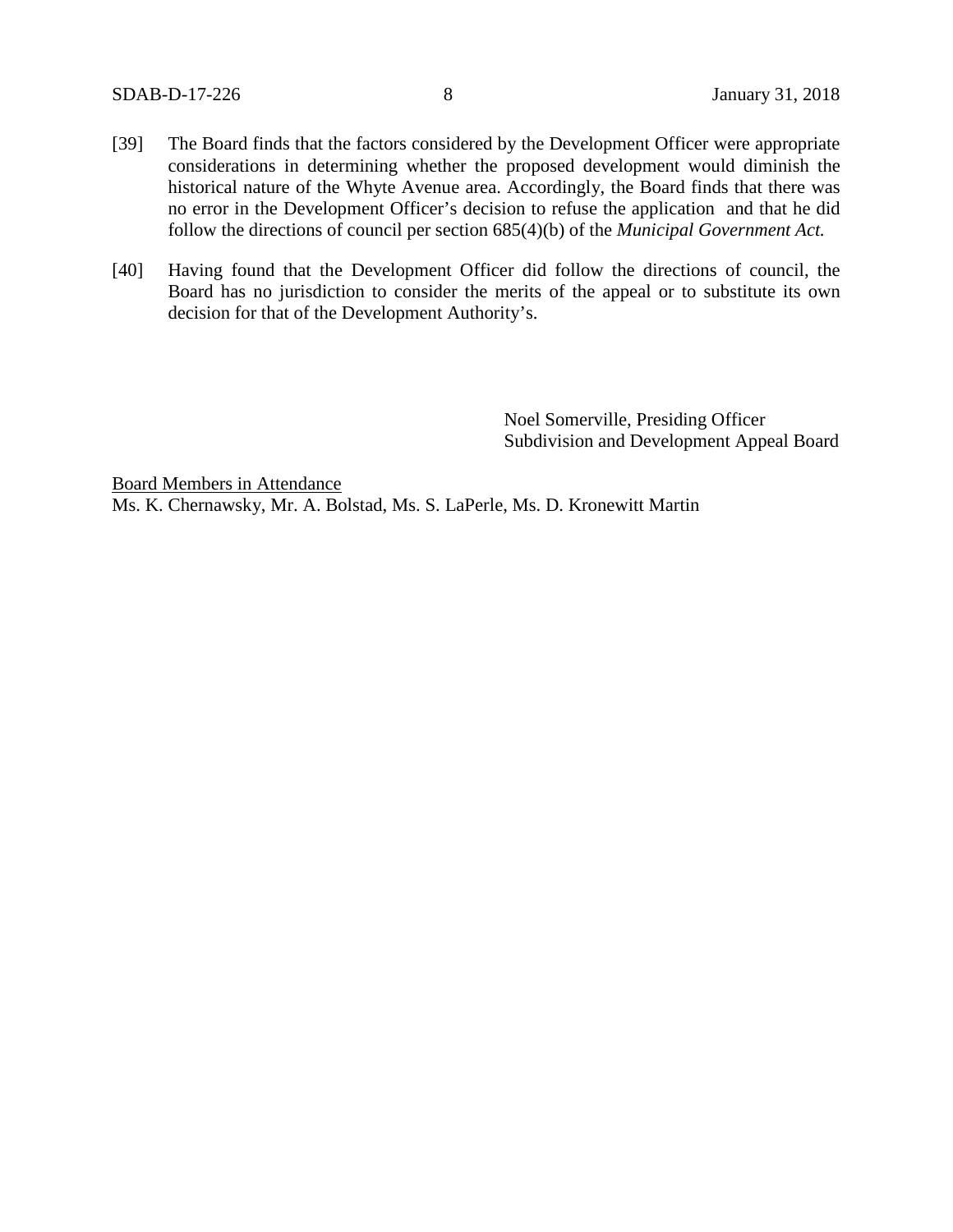- [39] The Board finds that the factors considered by the Development Officer were appropriate considerations in determining whether the proposed development would diminish the historical nature of the Whyte Avenue area. Accordingly, the Board finds that there was no error in the Development Officer's decision to refuse the application and that he did follow the directions of council per section 685(4)(b) of the *Municipal Government Act.*
- [40] Having found that the Development Officer did follow the directions of council, the Board has no jurisdiction to consider the merits of the appeal or to substitute its own decision for that of the Development Authority's.

Noel Somerville, Presiding Officer Subdivision and Development Appeal Board

Board Members in Attendance Ms. K. Chernawsky, Mr. A. Bolstad, Ms. S. LaPerle, Ms. D. Kronewitt Martin